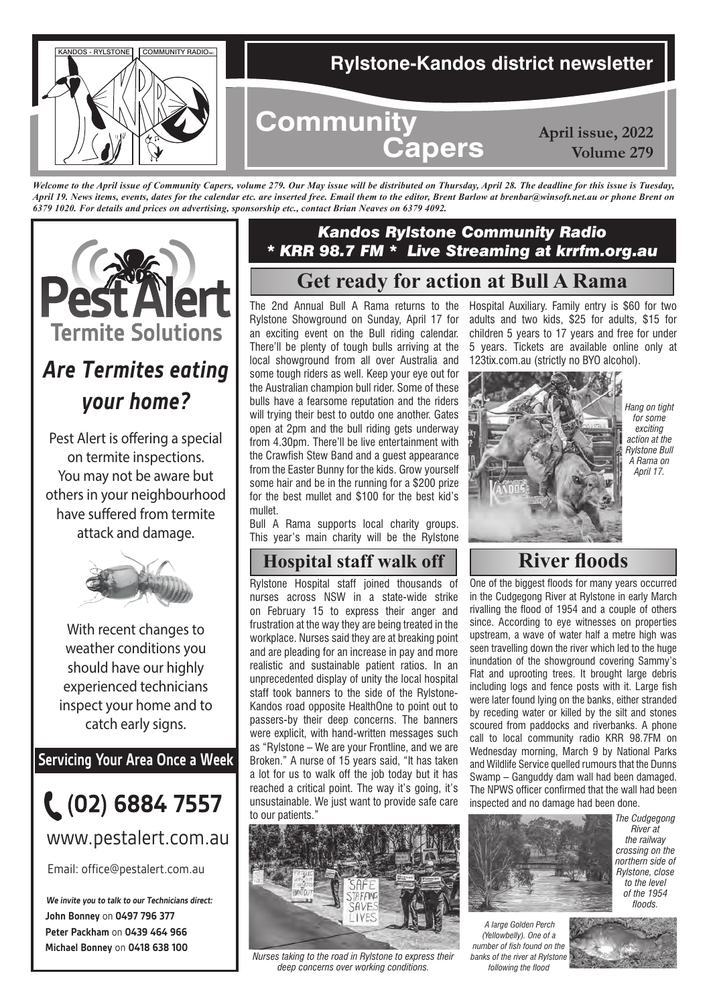

*Welcome to the April issue of Community Capers, volume 279. Our May issue will be distributed on Thursday, April 28. The deadline for this issue is Tuesday, April 19. News items, events, dates for the calendar etc. are inserted free. Email them to the editor, Brent Barlow at brenbar@winsoft.net.au or phone Brent on 6379 1020. For details and prices on advertising, sponsorship etc., contact Brian Neaves on 6379 4092.*



# *Are Termites eating your home?*

Pest Alert is offering a special on termite inspections. You may not be aware but others in your neighbourhood have suffered from termite attack and damage.



With recent changes to weather conditions you should have our highly experienced technicians inspect your home and to catch early signs.

**Servicing Your Area Once a Week**



www.pestalert.com.au

Email: office@pestalert.com.au

**John Bonney** on **0497 796 377 Peter Packham** on **0439 464 966 Michael Bonney** on **0418 638 100 We invite you to talk to our Technicians direct:**

## *Kandos Rylstone Community Radio \* KRR 98.7 FM \* Live Streaming at krrfm.org.au*

# **Get ready for action at Bull A Rama**

The 2nd Annual Bull A Rama returns to the Rylstone Showground on Sunday, April 17 for an exciting event on the Bull riding calendar. There'll be plenty of tough bulls arriving at the local showground from all over Australia and some tough riders as well. Keep your eye out for the Australian champion bull rider. Some of these bulls have a fearsome reputation and the riders will trying their best to outdo one another. Gates open at 2pm and the bull riding gets underway from 4.30pm. There'll be live entertainment with the Crawfish Stew Band and a guest appearance from the Easter Bunny for the kids. Grow yourself some hair and be in the running for a \$200 prize for the best mullet and \$100 for the best kid's mullet.

Bull A Rama supports local charity groups. This year's main charity will be the Rylstone

## **Hospital staff walk off River floods**

Rylstone Hospital staff joined thousands of nurses across NSW in a state-wide strike on February 15 to express their anger and frustration at the way they are being treated in the workplace. Nurses said they are at breaking point and are pleading for an increase in pay and more realistic and sustainable patient ratios. In an unprecedented display of unity the local hospital staff took banners to the side of the Rylstone-Kandos road opposite HealthOne to point out to passers-by their deep concerns. The banners were explicit, with hand-written messages such as "Rylstone – We are your Frontline, and we are Broken." A nurse of 15 years said, "It has taken a lot for us to walk off the job today but it has reached a critical point. The way it's going, it's unsustainable. We just want to provide safe care to our patients."



*Nurses taking to the road in Rylstone to express their deep concerns over working conditions.*

Hospital Auxiliary. Family entry is \$60 for two adults and two kids, \$25 for adults, \$15 for children 5 years to 17 years and free for under 5 years. Tickets are available online only at 123tix.com.au (strictly no BYO alcohol).



*Hang on tight for some exciting action at the Rylstone Bull A Rama on April 17.*

One of the biggest floods for many years occurred in the Cudgegong River at Rylstone in early March rivalling the flood of 1954 and a couple of others since. According to eye witnesses on properties upstream, a wave of water half a metre high was seen travelling down the river which led to the huge inundation of the showground covering Sammy's Flat and uprooting trees. It brought large debris including logs and fence posts with it. Large fish were later found lying on the banks, either stranded by receding water or killed by the silt and stones scoured from paddocks and riverbanks. A phone call to local community radio KRR 98.7FM on Wednesday morning, March 9 by National Parks and Wildlife Service quelled rumours that the Dunns Swamp – Ganguddy dam wall had been damaged. The NPWS officer confirmed that the wall had been inspected and no damage had been done.



 *A large Golden Perch (Yellowbelly). One of a number of fish found on the banks of the river at Rylstone following the flood*



*River at the railway* 

*to the level of the 1954 floods.*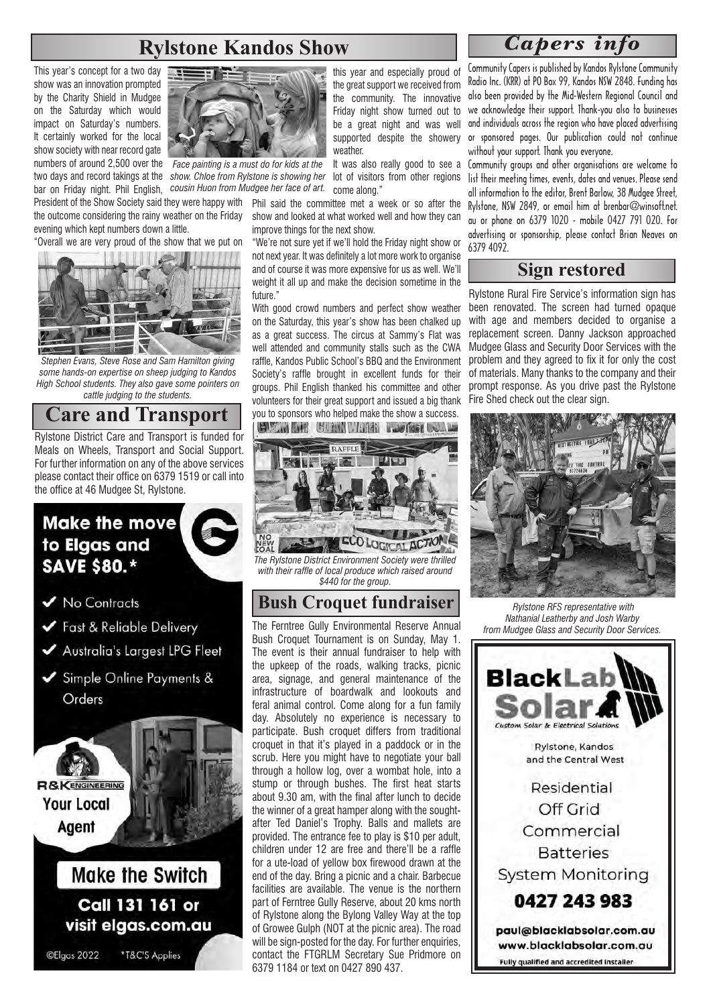### **Rylstone Kandos Show**

This year's concept for a two day show was an innovation prompted by the Charity Shield in Mudgee on the Saturday which would impact on Saturday's numbers. It certainly worked for the local show society with near record gate numbers of around 2,500 over the *Face painting is a must do for kids at the* 

President of the Show Society said they were happy with Phil said the committee met a week or so after the the outcome considering the rainy weather on the Friday evening which kept numbers down a little.

"Overall we are very proud of the show that we put on



*Stephen Evans, Steve Rose and Sam Hamilton giving some hands-on expertise on sheep judging to Kandos High School students. They also gave some pointers on cattle judging to the students.*

**Care and Transport**

Rylstone District Care and Transport is funded for Meals on Wheels, Transport and Social Support. For further information on any of the above services please contact their office on 6379 1519 or call into the office at 46 Mudgee St, Rylstone.

## **Make the move** to Elgas and **SAVE \$80.\***

- V No Contracts
- Fast & Reliable Delivery
- Australia's Largest LPG Fleet
- Simple Online Payments & Orders



**Make the Switch** Call 131 161 or visit elgas.com.au

©Elgas 2022

\*T&C'S Applies



two days and record takings at the *show. Chloe from Rylstone is showing her* lot of visitors from other regions bar on Friday night. Phil English, *cousin Huon from Mudgee her face of art.*

> show and looked at what worked well and how they can improve things for the next show.

come along."

"We're not sure yet if we'll hold the Friday night show or not next year. It was definitely a lot more work to organise and of course it was more expensive for us as well. We'll weight it all up and make the decision sometime in the future."

With good crowd numbers and perfect show weather on the Saturday, this year's show has been chalked up as a great success. The circus at Sammy's Flat was well attended and community stalls such as the CWA raffle, Kandos Public School's BBQ and the Environment Society's raffle brought in excellent funds for their groups. Phil English thanked his committee and other volunteers for their great support and issued a big thank you to sponsors who helped make the show a success. **CLEAR AND THE WAY NOTED TO BE LEAST AND RAFE** 



*The Rylstone District Environment Society were thrilled with their raffle of local produce which raised around \$440 for the group.*

#### **Bush Croquet fundraiser**

The Ferntree Gully Environmental Reserve Annual Bush Croquet Tournament is on Sunday, May 1. The event is their annual fundraiser to help with the upkeep of the roads, walking tracks, picnic area, signage, and general maintenance of the infrastructure of boardwalk and lookouts and feral animal control. Come along for a fun family day. Absolutely no experience is necessary to participate. Bush croquet differs from traditional croquet in that it's played in a paddock or in the scrub. Here you might have to negotiate your ball through a hollow log, over a wombat hole, into a stump or through bushes. The first heat starts about 9.30 am, with the final after lunch to decide the winner of a great hamper along with the soughtafter Ted Daniel's Trophy. Balls and mallets are provided. The entrance fee to play is \$10 per adult, children under 12 are free and there'll be a raffle for a ute-load of yellow box firewood drawn at the end of the day. Bring a picnic and a chair. Barbecue facilities are available. The venue is the northern part of Ferntree Gully Reserve, about 20 kms north of Rylstone along the Bylong Valley Way at the top of Growee Gulph (NOT at the picnic area). The road will be sign-posted for the day. For further enquiries, contact the FTGRLM Secretary Sue Pridmore on 6379 1184 or text on 0427 890 437.

#### *Capers info*

Community Capers is published by Kandos Rylstone Community Radio Inc. (KRR) at PO Box 99, Kandos NSW 2848. Funding has also been provided by the Mid-Western Regional Council and we acknowledge their support. Thank-you also to businesses and individuals across the region who have placed advertising or sponsored pages. Our publication could not continue without your support. Thank you everyone.

It was also really good to see a Community groups and other organisations are welcome to list their meeting times, events, dates and venues. Please send all information to the editor, Brent Barlow, 38 Mudgee Street, Rylstone, NSW 2849, or email him at brenbar@winsoft.net. au or phone on 6379 1020 - mobile 0427 791 020. For advertising or sponsorship, please contact Brian Neaves on 6379 4092.

#### **Sign restored**

Rylstone Rural Fire Service's information sign has been renovated. The screen had turned opaque with age and members decided to organise a replacement screen. Danny Jackson approached Mudgee Glass and Security Door Services with the problem and they agreed to fix it for only the cost of materials. Many thanks to the company and their prompt response. As you drive past the Rylstone Fire Shed check out the clear sign.



 *Rylstone RFS representative with Nathanial Leatherby and Josh Warby from Mudgee Glass and Security Door Services.*

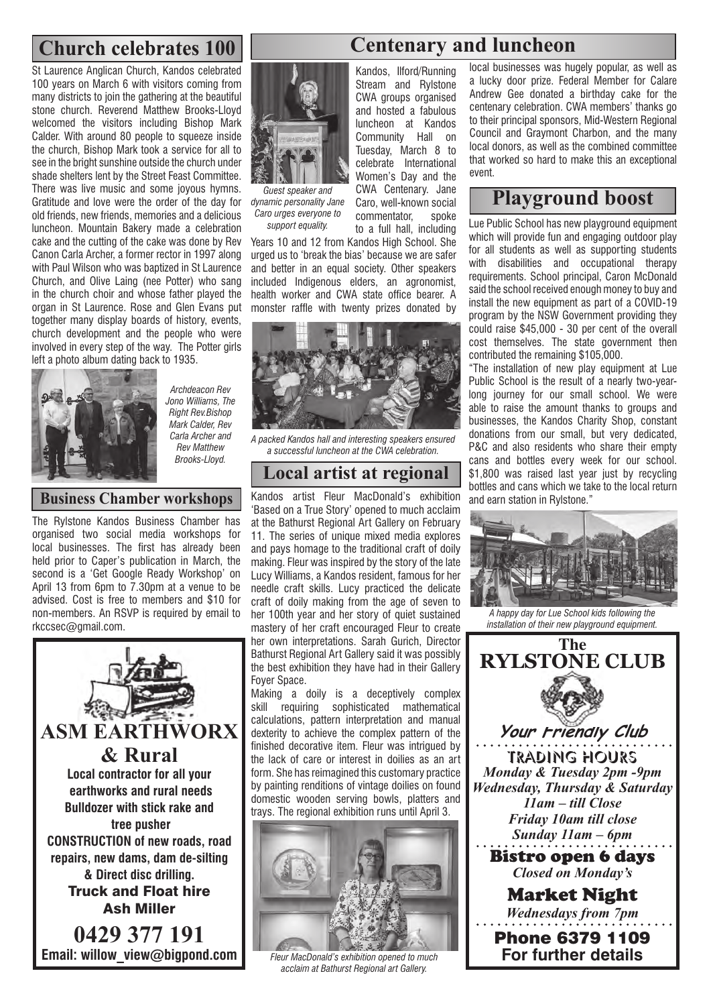St Laurence Anglican Church, Kandos celebrated 100 years on March 6 with visitors coming from many districts to join the gathering at the beautiful stone church. Reverend Matthew Brooks-Lloyd welcomed the visitors including Bishop Mark Calder. With around 80 people to squeeze inside the church, Bishop Mark took a service for all to see in the bright sunshine outside the church under shade shelters lent by the Street Feast Committee. There was live music and some joyous hymns. Gratitude and love were the order of the day for old friends, new friends, memories and a delicious luncheon. Mountain Bakery made a celebration cake and the cutting of the cake was done by Rev Canon Carla Archer, a former rector in 1997 along with Paul Wilson who was baptized in St Laurence Church, and Olive Laing (nee Potter) who sang in the church choir and whose father played the organ in St Laurence. Rose and Glen Evans put together many display boards of history, events, church development and the people who were involved in every step of the way. The Potter girls left a photo album dating back to 1935.



*Archdeacon Rev Jono Williams, The Right Rev.Bishop Mark Calder, Rev Carla Archer and Rev Matthew Brooks-Lloyd.*

#### **Business Chamber workshops**

The Rylstone Kandos Business Chamber has organised two social media workshops for local businesses. The first has already been held prior to Caper's publication in March, the second is a 'Get Google Ready Workshop' on April 13 from 6pm to 7.30pm at a venue to be advised. Cost is free to members and \$10 for non-members. An RSVP is required by email to rkccsec@gmail.com.





*Guest speaker and dynamic personality Jane Caro urges everyone to support equality.*

Stream and Rylstone CWA groups organised and hosted a fabulous luncheon at Kandos Community Hall on Tuesday, March 8 to celebrate International Women's Day and the CWA Centenary. Jane Caro, well-known social commentator, spoke to a full hall, including

Kandos, Ilford/Running

Years 10 and 12 from Kandos High School. She urged us to 'break the bias' because we are safer and better in an equal society. Other speakers included Indigenous elders, an agronomist, health worker and CWA state office bearer. A monster raffle with twenty prizes donated by



*A packed Kandos hall and interesting speakers ensured a successful luncheon at the CWA celebration.*

#### **Local artist at regional**

Kandos artist Fleur MacDonald's exhibition 'Based on a True Story' opened to much acclaim at the Bathurst Regional Art Gallery on February 11. The series of unique mixed media explores and pays homage to the traditional craft of doily making. Fleur was inspired by the story of the late Lucy Williams, a Kandos resident, famous for her needle craft skills. Lucy practiced the delicate craft of doily making from the age of seven to her 100th year and her story of quiet sustained mastery of her craft encouraged Fleur to create her own interpretations. Sarah Gurich, Director Bathurst Regional Art Gallery said it was possibly the best exhibition they have had in their Gallery Foyer Space.

Making a doily is a deceptively complex skill requiring sophisticated mathematical calculations, pattern interpretation and manual dexterity to achieve the complex pattern of the finished decorative item. Fleur was intrigued by the lack of care or interest in doilies as an art form. She has reimagined this customary practice by painting renditions of vintage doilies on found domestic wooden serving bowls, platters and trays. The regional exhibition runs until April 3.



*Fleur MacDonald's exhibition opened to much acclaim at Bathurst Regional art Gallery.*

## **Church celebrates 100 Centenary and luncheon**

local businesses was hugely popular, as well as a lucky door prize. Federal Member for Calare Andrew Gee donated a birthday cake for the centenary celebration. CWA members' thanks go to their principal sponsors, Mid-Western Regional Council and Graymont Charbon, and the many local donors, as well as the combined committee that worked so hard to make this an exceptional event.

## **Playground boost**

Lue Public School has new playground equipment which will provide fun and engaging outdoor play for all students as well as supporting students with disabilities and occupational therapy requirements. School principal, Caron McDonald said the school received enough money to buy and install the new equipment as part of a COVID-19 program by the NSW Government providing they could raise \$45,000 - 30 per cent of the overall cost themselves. The state government then contributed the remaining \$105,000.

"The installation of new play equipment at Lue Public School is the result of a nearly two-yearlong journey for our small school. We were able to raise the amount thanks to groups and businesses, the Kandos Charity Shop, constant donations from our small, but very dedicated, P&C and also residents who share their empty cans and bottles every week for our school. \$1,800 was raised last year just by recycling bottles and cans which we take to the local return and earn station in Rylstone."



*A happy day for Lue School kids following the installation of their new playground equipment.*

**The RYLSTONE CLUB Your Friendly Club** Trading Hours *Monday & Tuesday 2pm -9pm Wednesday, Thursday & Saturday 11am – till Close Friday 10am till close Sunday 11am – 6pm* Bistro open 6 days *Closed on Monday's*  Market Night *Wednesdays from 7pm*

Phone 6379 1109 **For further details**